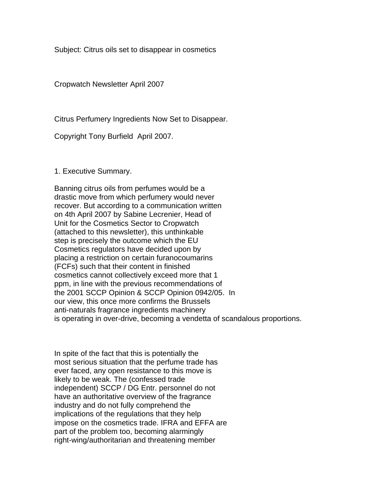Subject: Citrus oils set to disappear in cosmetics

Cropwatch Newsletter April 2007

Citrus Perfumery Ingredients Now Set to Disappear.

Copyright Tony Burfield April 2007.

1. Executive Summary.

Banning citrus oils from perfumes would be a drastic move from which perfumery would never recover. But according to a communication written on 4th April 2007 by Sabine Lecrenier, Head of Unit for the Cosmetics Sector to Cropwatch (attached to this newsletter), this unthinkable step is precisely the outcome which the EU Cosmetics regulators have decided upon by placing a restriction on certain furanocoumarins (FCFs) such that their content in finished cosmetics cannot collectively exceed more that 1 ppm, in line with the previous recommendations of the 2001 SCCP Opinion & SCCP Opinion 0942/05. In our view, this once more confirms the Brussels anti-naturals fragrance ingredients machinery is operating in over-drive, becoming a vendetta of scandalous proportions.

In spite of the fact that this is potentially the most serious situation that the perfume trade has ever faced, any open resistance to this move is likely to be weak. The (confessed trade independent) SCCP / DG Entr. personnel do not have an authoritative overview of the fragrance industry and do not fully comprehend the implications of the regulations that they help impose on the cosmetics trade. IFRA and EFFA are part of the problem too, becoming alarmingly right-wing/authoritarian and threatening member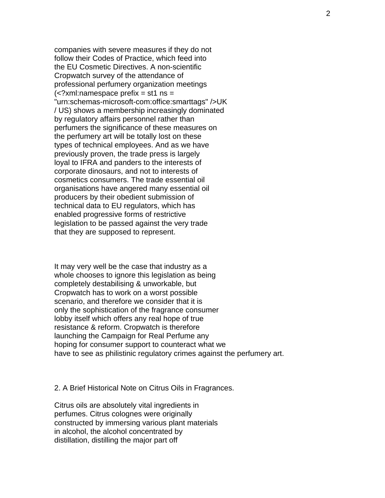companies with severe measures if they do not follow their Codes of Practice, which feed into the EU Cosmetic Directives. A non-scientific Cropwatch survey of the attendance of professional perfumery organization meetings  $\langle$  <?xml:namespace prefix = st1 ns = "urn:schemas-microsoft-com:office:smarttags" />UK / US) shows a membership increasingly dominated by regulatory affairs personnel rather than perfumers the significance of these measures on the perfumery art will be totally lost on these types of technical employees. And as we have previously proven, the trade press is largely loyal to IFRA and panders to the interests of corporate dinosaurs, and not to interests of cosmetics consumers. The trade essential oil organisations have angered many essential oil producers by their obedient submission of technical data to EU regulators, which has enabled progressive forms of restrictive legislation to be passed against the very trade that they are supposed to represent.

It may very well be the case that industry as a whole chooses to ignore this legislation as being completely destabilising & unworkable, but Cropwatch has to work on a worst possible scenario, and therefore we consider that it is only the sophistication of the fragrance consumer lobby itself which offers any real hope of true resistance & reform. Cropwatch is therefore launching the Campaign for Real Perfume any hoping for consumer support to counteract what we have to see as philistinic regulatory crimes against the perfumery art.

## 2. A Brief Historical Note on Citrus Oils in Fragrances.

Citrus oils are absolutely vital ingredients in perfumes. Citrus colognes were originally constructed by immersing various plant materials in alcohol, the alcohol concentrated by distillation, distilling the major part off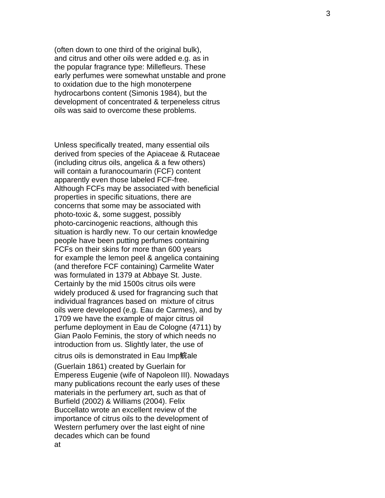(often down to one third of the original bulk), and citrus and other oils were added e.g. as in the popular fragrance type: Millefleurs. These early perfumes were somewhat unstable and prone to oxidation due to the high monoterpene hydrocarbons content (Simonis 1984), but the development of concentrated & terpeneless citrus oils was said to overcome these problems.

Unless specifically treated, many essential oils derived from species of the Apiaceae & Rutaceae (including citrus oils, angelica & a few others) will contain a furanocoumarin (FCF) content apparently even those labeled FCF-free. Although FCFs may be associated with beneficial properties in specific situations, there are concerns that some may be associated with photo-toxic &, some suggest, possibly photo-carcinogenic reactions, although this situation is hardly new. To our certain knowledge people have been putting perfumes containing FCFs on their skins for more than 600 years for example the lemon peel & angelica containing (and therefore FCF containing) Carmelite Water was formulated in 1379 at Abbaye St. Juste. Certainly by the mid 1500s citrus oils were widely produced & used for fragrancing such that individual fragrances based on mixture of citrus oils were developed (e.g. Eau de Carmes), and by 1709 we have the example of major citrus oil perfume deployment in Eau de Cologne (4711) by Gian Paolo Feminis, the story of which needs no introduction from us. Slightly later, the use of

## citrus oils is demonstrated in Eau Imp 鲩ale

(Guerlain 1861) created by Guerlain for Emperess Eugenie (wife of Napoleon III). Nowadays many publications recount the early uses of these materials in the perfumery art, such as that of Burfield (2002) & Williams (2004). Felix Buccellato wrote an excellent review of the importance of citrus oils to the development of Western perfumery over the last eight of nine decades which can be found at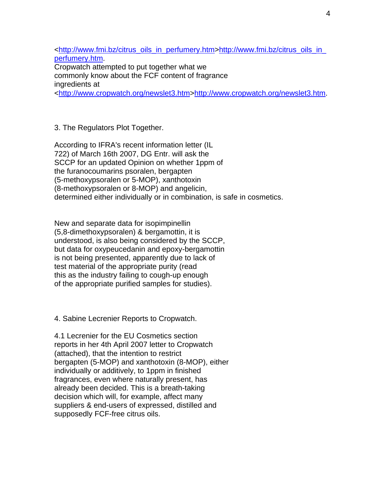<http://www.fmi.bz/citrus\_oils\_in\_perfumery.htm>http://www.fmi.bz/citrus\_oils\_in\_ perfumery.htm. Cropwatch attempted to put together what we commonly know about the FCF content of fragrance ingredients at <http://www.cropwatch.org/newslet3.htm>http://www.cropwatch.org/newslet3.htm.

3. The Regulators Plot Together.

According to IFRA's recent information letter (IL 722) of March 16th 2007, DG Entr. will ask the SCCP for an updated Opinion on whether 1ppm of the furanocoumarins psoralen, bergapten (5-methoxypsoralen or 5-MOP), xanthotoxin (8-methoxypsoralen or 8-MOP) and angelicin, determined either individually or in combination, is safe in cosmetics.

New and separate data for isopimpinellin (5,8-dimethoxypsoralen) & bergamottin, it is understood, is also being considered by the SCCP, but data for oxypeucedanin and epoxy-bergamottin is not being presented, apparently due to lack of test material of the appropriate purity (read this as the industry failing to cough-up enough of the appropriate purified samples for studies).

4. Sabine Lecrenier Reports to Cropwatch.

4.1 Lecrenier for the EU Cosmetics section reports in her 4th April 2007 letter to Cropwatch (attached), that the intention to restrict bergapten (5-MOP) and xanthotoxin (8-MOP), either individually or additively, to 1ppm in finished fragrances, even where naturally present, has already been decided. This is a breath-taking decision which will, for example, affect many suppliers & end-users of expressed, distilled and supposedly FCF-free citrus oils.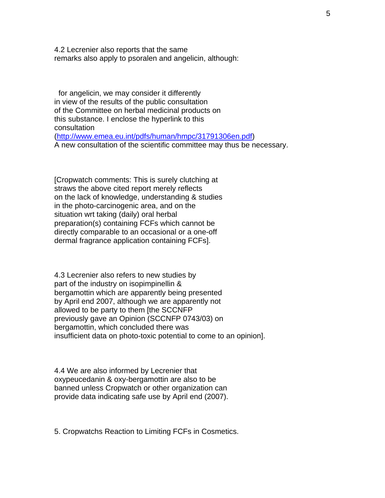4.2 Lecrenier also reports that the same remarks also apply to psoralen and angelicin, although:

 for angelicin, we may consider it differently in view of the results of the public consultation of the Committee on herbal medicinal products on this substance. I enclose the hyperlink to this consultation (http://www.emea.eu.int/pdfs/human/hmpc/31791306en.pdf) A new consultation of the scientific committee may thus be necessary.

[Cropwatch comments: This is surely clutching at straws the above cited report merely reflects on the lack of knowledge, understanding & studies in the photo-carcinogenic area, and on the situation wrt taking (daily) oral herbal preparation(s) containing FCFs which cannot be directly comparable to an occasional or a one-off dermal fragrance application containing FCFs].

4.3 Lecrenier also refers to new studies by part of the industry on isopimpinellin & bergamottin which are apparently being presented by April end 2007, although we are apparently not allowed to be party to them [the SCCNFP previously gave an Opinion (SCCNFP 0743/03) on bergamottin, which concluded there was insufficient data on photo-toxic potential to come to an opinion].

4.4 We are also informed by Lecrenier that oxypeucedanin & oxy-bergamottin are also to be banned unless Cropwatch or other organization can provide data indicating safe use by April end (2007).

5. Cropwatchs Reaction to Limiting FCFs in Cosmetics.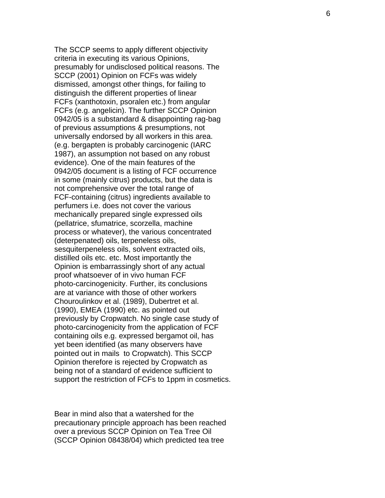The SCCP seems to apply different objectivity criteria in executing its various Opinions, presumably for undisclosed political reasons. The SCCP (2001) Opinion on FCFs was widely dismissed, amongst other things, for failing to distinguish the different properties of linear FCFs (xanthotoxin, psoralen etc.) from angular FCFs (e.g. angelicin). The further SCCP Opinion 0942/05 is a substandard & disappointing rag-bag of previous assumptions & presumptions, not universally endorsed by all workers in this area. (e.g. bergapten is probably carcinogenic (IARC 1987), an assumption not based on any robust evidence). One of the main features of the 0942/05 document is a listing of FCF occurrence in some (mainly citrus) products, but the data is not comprehensive over the total range of FCF-containing (citrus) ingredients available to perfumers i.e. does not cover the various mechanically prepared single expressed oils (pellatrice, sfumatrice, scorzella, machine process or whatever), the various concentrated (deterpenated) oils, terpeneless oils, sesquiterpeneless oils, solvent extracted oils, distilled oils etc. etc. Most importantly the Opinion is embarrassingly short of any actual proof whatsoever of in vivo human FCF photo-carcinogenicity. Further, its conclusions are at variance with those of other workers Chouroulinkov et al. (1989), Dubertret et al. (1990), EMEA (1990) etc. as pointed out previously by Cropwatch. No single case study of photo-carcinogenicity from the application of FCF containing oils e.g. expressed bergamot oil, has yet been identified (as many observers have pointed out in mails to Cropwatch). This SCCP Opinion therefore is rejected by Cropwatch as being not of a standard of evidence sufficient to support the restriction of FCFs to 1ppm in cosmetics.

Bear in mind also that a watershed for the precautionary principle approach has been reached over a previous SCCP Opinion on Tea Tree Oil (SCCP Opinion 08438/04) which predicted tea tree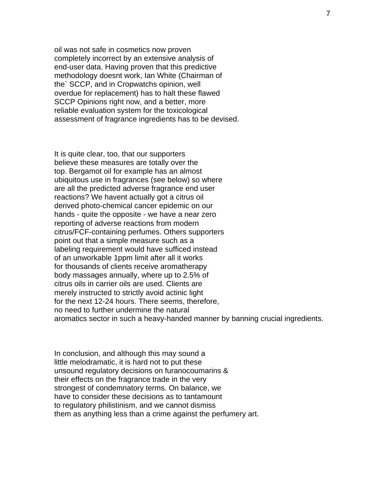oil was not safe in cosmetics now proven completely incorrect by an extensive analysis of end-user data. Having proven that this predictive methodology doesnt work, Ian White (Chairman of the` SCCP, and in Cropwatchs opinion, well overdue for replacement) has to halt these flawed SCCP Opinions right now, and a better, more reliable evaluation system for the toxicological assessment of fragrance ingredients has to be devised.

It is quite clear, too, that our supporters believe these measures are totally over the top. Bergamot oil for example has an almost ubiquitous use in fragrances (see below) so where are all the predicted adverse fragrance end user reactions? We havent actually got a citrus oil derived photo-chemical cancer epidemic on our hands - quite the opposite - we have a near zero reporting of adverse reactions from modern citrus/FCF-containing perfumes. Others supporters point out that a simple measure such as a labeling requirement would have sufficed instead of an unworkable 1ppm limit after all it works for thousands of clients receive aromatherapy body massages annually, where up to 2.5% of citrus oils in carrier oils are used. Clients are merely instructed to strictly avoid actinic light for the next 12-24 hours. There seems, therefore, no need to further undermine the natural aromatics sector in such a heavy-handed manner by banning crucial ingredients.

In conclusion, and although this may sound a little melodramatic, it is hard not to put these unsound regulatory decisions on furanocoumarins & their effects on the fragrance trade in the very strongest of condemnatory terms. On balance, we have to consider these decisions as to tantamount to regulatory philistinism, and we cannot dismiss them as anything less than a crime against the perfumery art.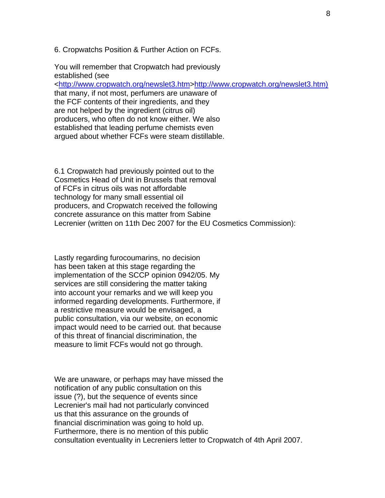6. Cropwatchs Position & Further Action on FCFs.

You will remember that Cropwatch had previously established (see <http://www.cropwatch.org/newslet3.htm>http://www.cropwatch.org/newslet3.htm) that many, if not most, perfumers are unaware of the FCF contents of their ingredients, and they are not helped by the ingredient (citrus oil) producers, who often do not know either. We also established that leading perfume chemists even argued about whether FCFs were steam distillable.

6.1 Cropwatch had previously pointed out to the Cosmetics Head of Unit in Brussels that removal of FCFs in citrus oils was not affordable technology for many small essential oil producers, and Cropwatch received the following concrete assurance on this matter from Sabine Lecrenier (written on 11th Dec 2007 for the EU Cosmetics Commission):

Lastly regarding furocoumarins, no decision has been taken at this stage regarding the implementation of the SCCP opinion 0942/05. My services are still considering the matter taking into account your remarks and we will keep you informed regarding developments. Furthermore, if a restrictive measure would be envisaged, a public consultation, via our website, on economic impact would need to be carried out. that because of this threat of financial discrimination, the measure to limit FCFs would not go through.

We are unaware, or perhaps may have missed the notification of any public consultation on this issue (?), but the sequence of events since Lecrenier's mail had not particularly convinced us that this assurance on the grounds of financial discrimination was going to hold up. Furthermore, there is no mention of this public consultation eventuality in Lecreniers letter to Cropwatch of 4th April 2007.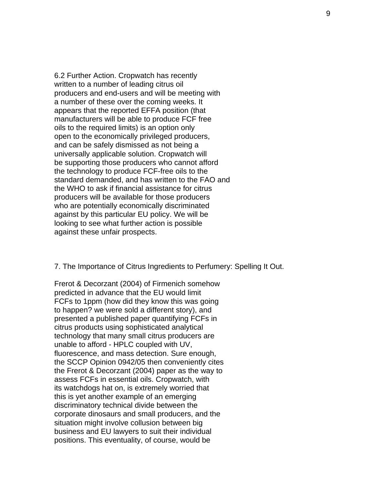6.2 Further Action. Cropwatch has recently written to a number of leading citrus oil producers and end-users and will be meeting with a number of these over the coming weeks. It appears that the reported EFFA position (that manufacturers will be able to produce FCF free oils to the required limits) is an option only open to the economically privileged producers, and can be safely dismissed as not being a universally applicable solution. Cropwatch will be supporting those producers who cannot afford the technology to produce FCF-free oils to the standard demanded, and has written to the FAO and the WHO to ask if financial assistance for citrus producers will be available for those producers who are potentially economically discriminated against by this particular EU policy. We will be looking to see what further action is possible against these unfair prospects.

7. The Importance of Citrus Ingredients to Perfumery: Spelling It Out.

Frerot & Decorzant (2004) of Firmenich somehow predicted in advance that the EU would limit FCFs to 1ppm (how did they know this was going to happen? we were sold a different story), and presented a published paper quantifying FCFs in citrus products using sophisticated analytical technology that many small citrus producers are unable to afford - HPLC coupled with UV, fluorescence, and mass detection. Sure enough, the SCCP Opinion 0942/05 then conveniently cites the Frerot & Decorzant (2004) paper as the way to assess FCFs in essential oils. Cropwatch, with its watchdogs hat on, is extremely worried that this is yet another example of an emerging discriminatory technical divide between the corporate dinosaurs and small producers, and the situation might involve collusion between big business and EU lawyers to suit their individual positions. This eventuality, of course, would be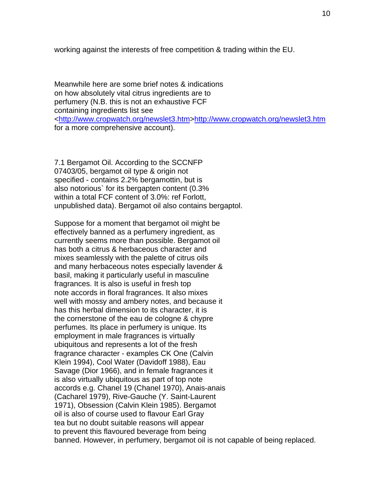working against the interests of free competition & trading within the EU.

Meanwhile here are some brief notes & indications on how absolutely vital citrus ingredients are to perfumery (N.B. this is not an exhaustive FCF containing ingredients list see <http://www.cropwatch.org/newslet3.htm>http://www.cropwatch.org/newslet3.htm for a more comprehensive account).

7.1 Bergamot Oil. According to the SCCNFP 07403/05, bergamot oil type & origin not specified - contains 2.2% bergamottin, but is also notorious` for its bergapten content (0.3% within a total FCF content of 3.0%: ref Forlott, unpublished data). Bergamot oil also contains bergaptol.

Suppose for a moment that bergamot oil might be effectively banned as a perfumery ingredient, as currently seems more than possible. Bergamot oil has both a citrus & herbaceous character and mixes seamlessly with the palette of citrus oils and many herbaceous notes especially lavender & basil, making it particularly useful in masculine fragrances. It is also is useful in fresh top note accords in floral fragrances. It also mixes well with mossy and ambery notes, and because it has this herbal dimension to its character, it is the cornerstone of the eau de cologne & chypre perfumes. Its place in perfumery is unique. Its employment in male fragrances is virtually ubiquitous and represents a lot of the fresh fragrance character - examples CK One (Calvin Klein 1994), Cool Water (Davidoff 1988), Eau Savage (Dior 1966), and in female fragrances it is also virtually ubiquitous as part of top note accords e.g. Chanel 19 (Chanel 1970), Anais-anais (Cacharel 1979), Rive-Gauche (Y. Saint-Laurent 1971), Obsession (Calvin Klein 1985). Bergamot oil is also of course used to flavour Earl Gray tea but no doubt suitable reasons will appear to prevent this flavoured beverage from being banned. However, in perfumery, bergamot oil is not capable of being replaced.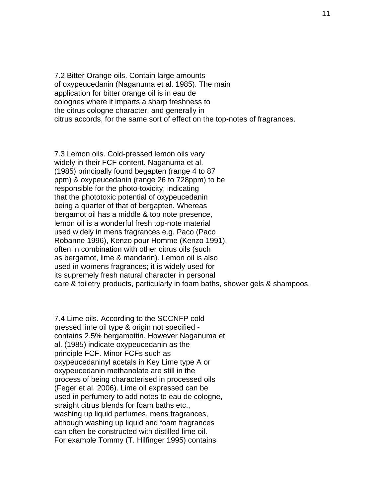7.2 Bitter Orange oils. Contain large amounts of oxypeucedanin (Naganuma et al. 1985). The main application for bitter orange oil is in eau de colognes where it imparts a sharp freshness to the citrus cologne character, and generally in citrus accords, for the same sort of effect on the top-notes of fragrances.

7.3 Lemon oils. Cold-pressed lemon oils vary widely in their FCF content. Naganuma et al. (1985) principally found begapten (range 4 to 87 ppm) & oxypeucedanin (range 26 to 728ppm) to be responsible for the photo-toxicity, indicating that the phototoxic potential of oxypeucedanin being a quarter of that of bergapten. Whereas bergamot oil has a middle & top note presence, lemon oil is a wonderful fresh top-note material used widely in mens fragrances e.g. Paco (Paco Robanne 1996), Kenzo pour Homme (Kenzo 1991), often in combination with other citrus oils (such as bergamot, lime & mandarin). Lemon oil is also used in womens fragrances; it is widely used for its supremely fresh natural character in personal care & toiletry products, particularly in foam baths, shower gels & shampoos.

7.4 Lime oils. According to the SCCNFP cold pressed lime oil type & origin not specified contains 2.5% bergamottin. However Naganuma et al. (1985) indicate oxypeucedanin as the principle FCF. Minor FCFs such as oxypeucedaninyl acetals in Key Lime type A or oxypeucedanin methanolate are still in the process of being characterised in processed oils (Feger et al. 2006). Lime oil expressed can be used in perfumery to add notes to eau de cologne, straight citrus blends for foam baths etc., washing up liquid perfumes, mens fragrances, although washing up liquid and foam fragrances can often be constructed with distilled lime oil. For example Tommy (T. Hilfinger 1995) contains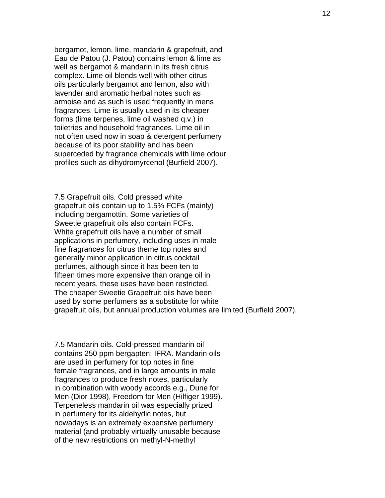bergamot, lemon, lime, mandarin & grapefruit, and Eau de Patou (J. Patou) contains lemon & lime as well as bergamot & mandarin in its fresh citrus complex. Lime oil blends well with other citrus oils particularly bergamot and lemon, also with lavender and aromatic herbal notes such as armoise and as such is used frequently in mens fragrances. Lime is usually used in its cheaper forms (lime terpenes, lime oil washed q.v.) in toiletries and household fragrances. Lime oil in not often used now in soap & detergent perfumery because of its poor stability and has been superceded by fragrance chemicals with lime odour profiles such as dihydromyrcenol (Burfield 2007).

7.5 Grapefruit oils. Cold pressed white grapefruit oils contain up to 1.5% FCFs (mainly) including bergamottin. Some varieties of Sweetie grapefruit oils also contain FCFs. White grapefruit oils have a number of small applications in perfumery, including uses in male fine fragrances for citrus theme top notes and generally minor application in citrus cocktail perfumes, although since it has been ten to fifteen times more expensive than orange oil in recent years, these uses have been restricted. The cheaper Sweetie Grapefruit oils have been used by some perfumers as a substitute for white grapefruit oils, but annual production volumes are limited (Burfield 2007).

7.5 Mandarin oils. Cold-pressed mandarin oil contains 250 ppm bergapten: IFRA. Mandarin oils are used in perfumery for top notes in fine female fragrances, and in large amounts in male fragrances to produce fresh notes, particularly in combination with woody accords e.g., Dune for Men (Dior 1998), Freedom for Men (Hilfiger 1999). Terpeneless mandarin oil was especially prized in perfumery for its aldehydic notes, but nowadays is an extremely expensive perfumery material (and probably virtually unusable because of the new restrictions on methyl-N-methyl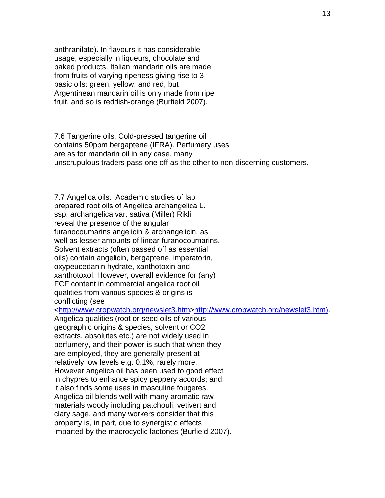anthranilate). In flavours it has considerable usage, especially in liqueurs, chocolate and baked products. Italian mandarin oils are made from fruits of varying ripeness giving rise to 3 basic oils: green, yellow, and red, but Argentinean mandarin oil is only made from ripe fruit, and so is reddish-orange (Burfield 2007).

7.6 Tangerine oils. Cold-pressed tangerine oil contains 50ppm bergaptene (IFRA). Perfumery uses are as for mandarin oil in any case, many unscrupulous traders pass one off as the other to non-discerning customers.

7.7 Angelica oils. Academic studies of lab prepared root oils of Angelica archangelica L. ssp. archangelica var. sativa (Miller) Rikli reveal the presence of the angular furanocoumarins angelicin & archangelicin, as well as lesser amounts of linear furanocoumarins. Solvent extracts (often passed off as essential oils) contain angelicin, bergaptene, imperatorin, oxypeucedanin hydrate, xanthotoxin and xanthotoxol. However, overall evidence for (any) FCF content in commercial angelica root oil qualities from various species & origins is conflicting (see

<http://www.cropwatch.org/newslet3.htm>http://www.cropwatch.org/newslet3.htm).

Angelica qualities (root or seed oils of various geographic origins & species, solvent or CO2 extracts, absolutes etc.) are not widely used in perfumery, and their power is such that when they are employed, they are generally present at relatively low levels e.g. 0.1%, rarely more. However angelica oil has been used to good effect in chypres to enhance spicy peppery accords; and it also finds some uses in masculine fougeres. Angelica oil blends well with many aromatic raw materials woody including patchouli, vetivert and clary sage, and many workers consider that this property is, in part, due to synergistic effects imparted by the macrocyclic lactones (Burfield 2007).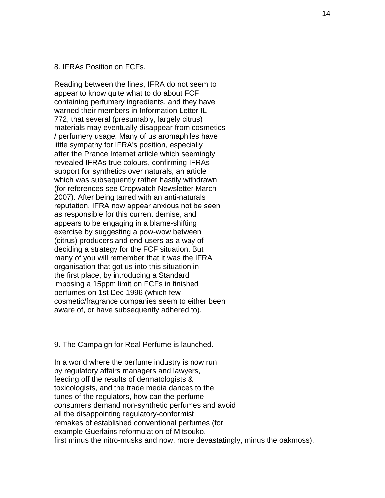## 8. IFRAs Position on FCFs.

Reading between the lines, IFRA do not seem to appear to know quite what to do about FCF containing perfumery ingredients, and they have warned their members in Information Letter IL 772, that several (presumably, largely citrus) materials may eventually disappear from cosmetics / perfumery usage. Many of us aromaphiles have little sympathy for IFRA's position, especially after the Prance Internet article which seemingly revealed IFRAs true colours, confirming IFRAs support for synthetics over naturals, an article which was subsequently rather hastily withdrawn (for references see Cropwatch Newsletter March 2007). After being tarred with an anti-naturals reputation, IFRA now appear anxious not be seen as responsible for this current demise, and appears to be engaging in a blame-shifting exercise by suggesting a pow-wow between (citrus) producers and end-users as a way of deciding a strategy for the FCF situation. But many of you will remember that it was the IFRA organisation that got us into this situation in the first place, by introducing a Standard imposing a 15ppm limit on FCFs in finished perfumes on 1st Dec 1996 (which few cosmetic/fragrance companies seem to either been aware of, or have subsequently adhered to).

## 9. The Campaign for Real Perfume is launched.

In a world where the perfume industry is now run by regulatory affairs managers and lawyers, feeding off the results of dermatologists & toxicologists, and the trade media dances to the tunes of the regulators, how can the perfume consumers demand non-synthetic perfumes and avoid all the disappointing regulatory-conformist remakes of established conventional perfumes (for example Guerlains reformulation of Mitsouko, first minus the nitro-musks and now, more devastatingly, minus the oakmoss).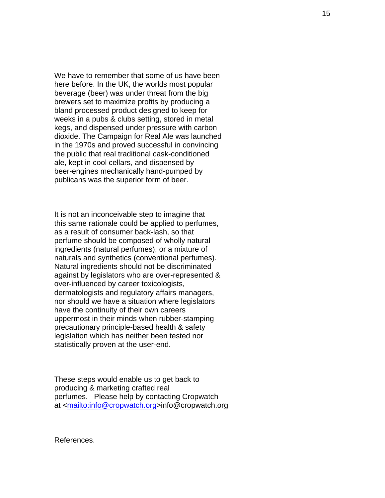We have to remember that some of us have been here before. In the UK, the worlds most popular beverage (beer) was under threat from the big brewers set to maximize profits by producing a bland processed product designed to keep for weeks in a pubs & clubs setting, stored in metal kegs, and dispensed under pressure with carbon dioxide. The Campaign for Real Ale was launched in the 1970s and proved successful in convincing the public that real traditional cask-conditioned ale, kept in cool cellars, and dispensed by beer-engines mechanically hand-pumped by publicans was the superior form of beer.

It is not an inconceivable step to imagine that this same rationale could be applied to perfumes, as a result of consumer back-lash, so that perfume should be composed of wholly natural ingredients (natural perfumes), or a mixture of naturals and synthetics (conventional perfumes). Natural ingredients should not be discriminated against by legislators who are over-represented & over-influenced by career toxicologists, dermatologists and regulatory affairs managers, nor should we have a situation where legislators have the continuity of their own careers uppermost in their minds when rubber-stamping precautionary principle-based health & safety legislation which has neither been tested nor statistically proven at the user-end.

These steps would enable us to get back to producing & marketing crafted real perfumes. Please help by contacting Cropwatch at <mailto:info@cropwatch.org>info@cropwatch.org

References.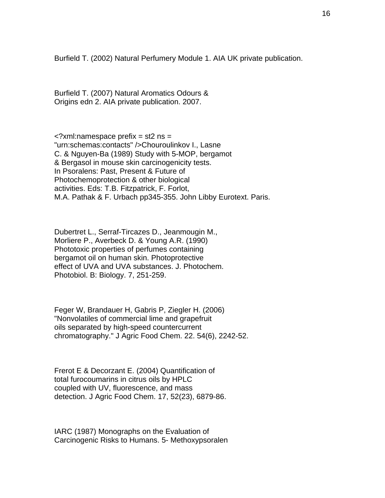Burfield T. (2002) Natural Perfumery Module 1. AIA UK private publication.

Burfield T. (2007) Natural Aromatics Odours & Origins edn 2. AIA private publication. 2007.

 $\leq$ ?xml:namespace prefix = st2 ns = "urn:schemas:contacts" />Chouroulinkov I., Lasne C. & Nguyen-Ba (1989) Study with 5-MOP, bergamot & Bergasol in mouse skin carcinogenicity tests. In Psoralens: Past, Present & Future of Photochemoprotection & other biological activities. Eds: T.B. Fitzpatrick, F. Forlot, M.A. Pathak & F. Urbach pp345-355. John Libby Eurotext. Paris.

Dubertret L., Serraf-Tircazes D., Jeanmougin M., Morliere P., Averbeck D. & Young A.R. (1990) Phototoxic properties of perfumes containing bergamot oil on human skin. Photoprotective effect of UVA and UVA substances. J. Photochem. Photobiol. B: Biology. 7, 251-259.

Feger W, Brandauer H, Gabris P, Ziegler H. (2006) "Nonvolatiles of commercial lime and grapefruit oils separated by high-speed countercurrent chromatography." J Agric Food Chem. 22. 54(6), 2242-52.

Frerot E & Decorzant E. (2004) Quantification of total furocoumarins in citrus oils by HPLC coupled with UV, fluorescence, and mass detection. J Agric Food Chem. 17, 52(23), 6879-86.

IARC (1987) Monographs on the Evaluation of Carcinogenic Risks to Humans. 5- Methoxypsoralen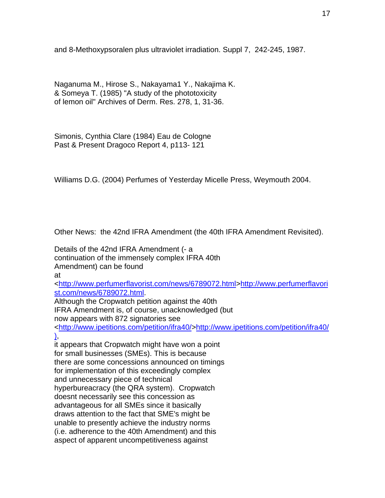and 8-Methoxypsoralen plus ultraviolet irradiation. Suppl 7, 242-245, 1987.

Naganuma M., Hirose S., Nakayama1 Y., Nakajima K. & Someya T. (1985) "A study of the phototoxicity of lemon oil" Archives of Derm. Res. 278, 1, 31-36.

Simonis, Cynthia Clare (1984) Eau de Cologne Past & Present Dragoco Report 4, p113- 121

Williams D.G. (2004) Perfumes of Yesterday Micelle Press, Weymouth 2004.

Other News: the 42nd IFRA Amendment (the 40th IFRA Amendment Revisited).

Details of the 42nd IFRA Amendment (- a continuation of the immensely complex IFRA 40th Amendment) can be found at <http://www.perfumerflavorist.com/news/6789072.html>http://www.perfumerflavori st.com/news/6789072.html. Although the Cropwatch petition against the 40th IFRA Amendment is, of course, unacknowledged (but now appears with 872 signatories see <http://www.ipetitions.com/petition/ifra40/>http://www.ipetitions.com/petition/ifra40/ ), it appears that Cropwatch might have won a point for small businesses (SMEs). This is because there are some concessions announced on timings for implementation of this exceedingly complex and unnecessary piece of technical hyperbureacracy (the QRA system). Cropwatch doesnt necessarily see this concession as advantageous for all SMEs since it basically draws attention to the fact that SME's might be unable to presently achieve the industry norms (i.e. adherence to the 40th Amendment) and this aspect of apparent uncompetitiveness against